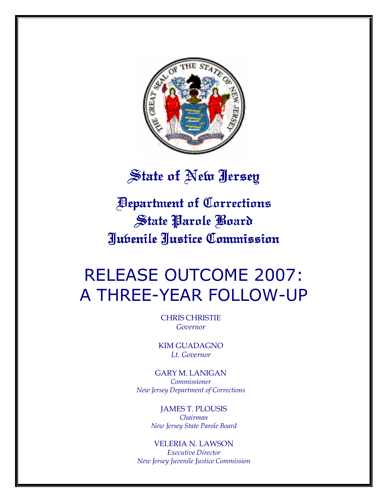

# State of New Jersey

Department of Corrections Department Corrections State Parole Board Juvenile Justice Commission Justice Commission

# RELEASE OUTCOME 2007: A THREE-YEAR FOLLOW-UP

CHRIS CHRISTIE Governor

KIM GUADAGNO Lt. Governor

GARY M. LANIGAN Commissioner New Jersey Department of Corrections

> JAMES T. PLOUSIS Chairman New Jersey State Parole Board

VELERIA N. LAWSON Executive Director New Jersey Juvenile Justice Commission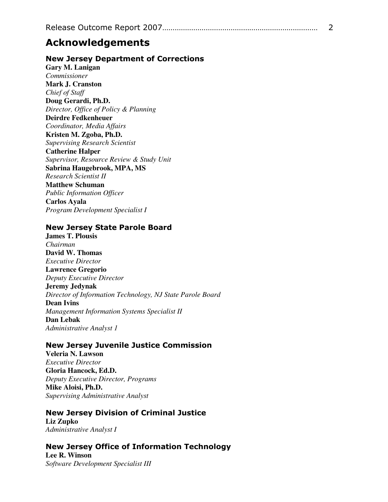# Acknowledgements

### New Jersey Department of Corrections

**Gary M. Lanigan**  *Commissioner*  **Mark J. Cranston**  *Chief of Staff*  **Doug Gerardi, Ph.D.**  *Director, Office of Policy & Planning*  **Deirdre Fedkenheuer**  *Coordinator, Media Affairs*  **Kristen M. Zgoba, Ph.D.**  *Supervising Research Scientist*  **Catherine Halper**  *Supervisor, Resource Review & Study Unit*  **Sabrina Haugebrook, MPA, MS**  *Research Scientist II*  **Matthew Schuman**  *Public Information Officer*  **Carlos Ayala**  *Program Development Specialist I* 

### New Jersey State Parole Board

**James T. Plousis**  *Chairman*  **David W. Thomas**  *Executive Director*  **Lawrence Gregorio**  *Deputy Executive Director*  **Jeremy Jedynak**  *Director of Information Technology, NJ State Parole Board*  **Dean Ivins**  *Management Information Systems Specialist II*  **Dan Lebak**  *Administrative Analyst 1* 

### New Jersey Juvenile Justice Commission

**Veleria N. Lawson**  *Executive Director*  **Gloria Hancock, Ed.D.**  *Deputy Executive Director, Programs*  **Mike Aloisi, Ph.D.**  *Supervising Administrative Analyst* 

#### New Jersey Division of Criminal Justice **Liz Zupko**

*Administrative Analyst I* 

# New Jersey Office of Information Technology

**Lee R. Winson**  *Software Development Specialist III*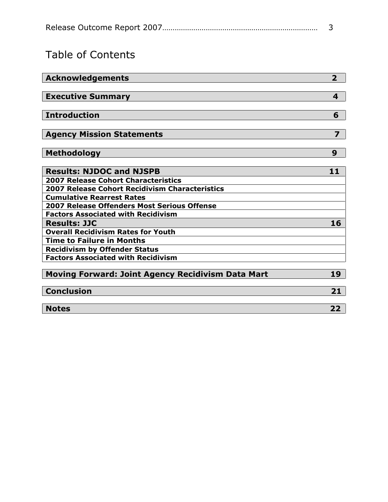# Table of Contents

| <b>Acknowledgements</b>                                  | $\overline{2}$ |
|----------------------------------------------------------|----------------|
|                                                          |                |
| <b>Executive Summary</b>                                 | 4              |
|                                                          |                |
| <b>Introduction</b>                                      | 6              |
|                                                          |                |
| <b>Agency Mission Statements</b>                         | 7              |
|                                                          |                |
| <b>Methodology</b>                                       | 9              |
|                                                          |                |
| <b>Results: NJDOC and NJSPB</b>                          | 11             |
| <b>2007 Release Cohort Characteristics</b>               |                |
| 2007 Release Cohort Recidivism Characteristics           |                |
| <b>Cumulative Rearrest Rates</b>                         |                |
| <b>2007 Release Offenders Most Serious Offense</b>       |                |
| <b>Factors Associated with Recidivism</b>                |                |
| <b>Results: JJC</b>                                      | 16             |
| <b>Overall Recidivism Rates for Youth</b>                |                |
| <b>Time to Failure in Months</b>                         |                |
| <b>Recidivism by Offender Status</b>                     |                |
| <b>Factors Associated with Recidivism</b>                |                |
|                                                          |                |
| <b>Moving Forward: Joint Agency Recidivism Data Mart</b> | 19             |
|                                                          |                |
| <b>Conclusion</b>                                        | 21             |
|                                                          |                |
| <b>Notes</b>                                             | 22             |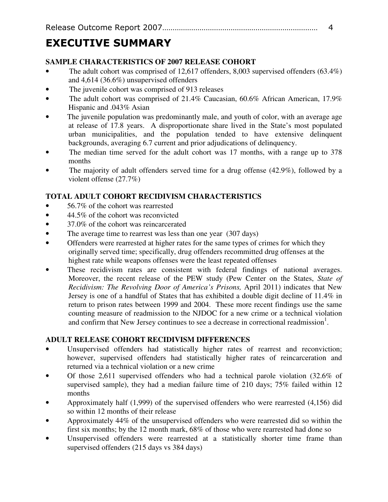# EXECUTIVE SUMMARY

# **SAMPLE CHARACTERISTICS OF 2007 RELEASE COHORT**

- The adult cohort was comprised of 12,617 offenders, 8,003 supervised offenders  $(63.4\%)$ and 4,614 (36.6%) unsupervised offenders
- The juvenile cohort was comprised of 913 releases
- The adult cohort was comprised of 21.4% Caucasian, 60.6% African American, 17.9% Hispanic and .043% Asian
- The juvenile population was predominantly male, and youth of color, with an average age at release of 17.8 years. A disproportionate share lived in the State's most populated urban municipalities, and the population tended to have extensive delinquent backgrounds, averaging 6.7 current and prior adjudications of delinquency.
- The median time served for the adult cohort was 17 months, with a range up to 378 months
- The majority of adult offenders served time for a drug offense (42.9%), followed by a violent offense (27.7%)

# **TOTAL ADULT COHORT RECIDIVISM CHARACTERISTICS**

- 56.7% of the cohort was rearrested
- 44.5% of the cohort was reconvicted
- 37.0% of the cohort was reincarcerated
- The average time to rearrest was less than one year (307 days)
- Offenders were rearrested at higher rates for the same types of crimes for which they originally served time; specifically, drug offenders recommitted drug offenses at the highest rate while weapons offenses were the least repeated offenses
- These recidivism rates are consistent with federal findings of national averages. Moreover, the recent release of the PEW study (Pew Center on the States, *State of Recidivism: The Revolving Door of America's Prisons,* April 2011) indicates that New Jersey is one of a handful of States that has exhibited a double digit decline of 11.4% in return to prison rates between 1999 and 2004. These more recent findings use the same counting measure of readmission to the NJDOC for a new crime or a technical violation and confirm that New Jersey continues to see a decrease in correctional readmission<sup>1</sup>.

# **ADULT RELEASE COHORT RECIDIVISM DIFFERENCES**

- Unsupervised offenders had statistically higher rates of rearrest and reconviction; however, supervised offenders had statistically higher rates of reincarceration and returned via a technical violation or a new crime
- Of those 2,611 supervised offenders who had a technical parole violation (32.6% of supervised sample), they had a median failure time of 210 days; 75% failed within 12 months
- Approximately half (1,999) of the supervised offenders who were rearrested (4,156) did so within 12 months of their release
- Approximately 44% of the unsupervised offenders who were rearrested did so within the first six months; by the 12 month mark, 68% of those who were rearrested had done so
- Unsupervised offenders were rearrested at a statistically shorter time frame than supervised offenders (215 days vs 384 days)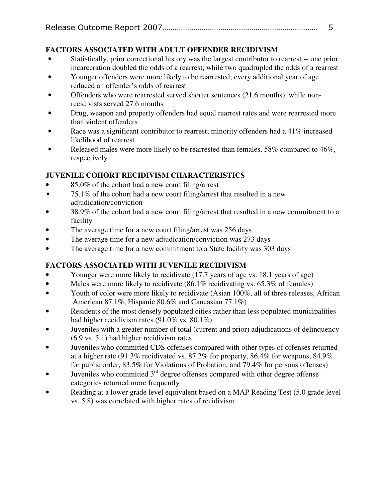# **FACTORS ASSOCIATED WITH ADULT OFFENDER RECIDIVISM**

- Statistically, prior correctional history was the largest contributor to rearrest -- one prior incarceration doubled the odds of a rearrest, while two quadrupled the odds of a rearrest
- Younger offenders were more likely to be rearrested; every additional year of age reduced an offender's odds of rearrest
- Offenders who were rearrested served shorter sentences (21.6 months), while nonrecidivists served 27.6 months
- Drug, weapon and property offenders had equal rearrest rates and were rearrested more than violent offenders
- Race was a significant contributor to rearrest; minority offenders had a 41% increased likelihood of rearrest
- Released males were more likely to be rearrested than females, 58% compared to 46%, respectively

# **JUVENILE COHORT RECIDIVISM CHARACTERISTICS**

- 85.0% of the cohort had a new court filing/arrest
- 75.1% of the cohort had a new court filing/arrest that resulted in a new adjudication/conviction
- 38.9% of the cohort had a new court filing/arrest that resulted in a new commitment to a facility
- The average time for a new court filing/arrest was 256 days
- The average time for a new adjudication/conviction was 273 days
- The average time for a new commitment to a State facility was 303 days

# **FACTORS ASSOCIATED WITH JUVENILE RECIDIVISM**

- Younger were more likely to recidivate (17.7 years of age vs. 18.1 years of age)
- Males were more likely to recidivate (86.1% recidivating vs. 65.3% of females)
- Youth of color were more likely to recidivate (Asian 100%, all of three releases, African American 87.1%, Hispanic 80.6% and Caucasian 77.1%)
- Residents of the most densely populated cities rather than less populated municipalities had higher recidivism rates (91.0% vs. 80.1%)
- Juveniles with a greater number of total (current and prior) adjudications of delinquency (6.9 vs. 5.1) had higher recidivism rates
- Juveniles who committed CDS offenses compared with other types of offenses returned at a higher rate (91.3% recidivated vs. 87.2% for property, 86.4% for weapons, 84.9% for public order, 83.5% for Violations of Probation, and 79.4% for persons offenses)
- Juveniles who committed  $3<sup>rd</sup>$  degree offenses compared with other degree offense categories returned more frequently
- Reading at a lower grade level equivalent based on a MAP Reading Test (5.0 grade level vs. 5.8) was correlated with higher rates of recidivism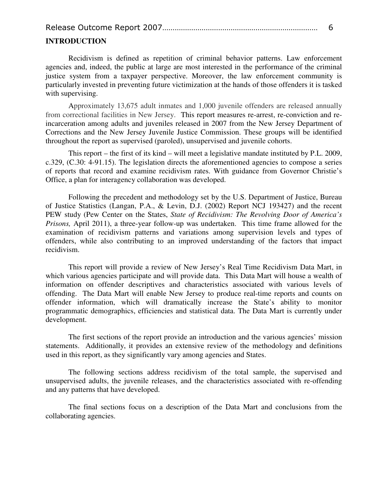|--|--|--|

#### **INTRODUCTION**

Recidivism is defined as repetition of criminal behavior patterns. Law enforcement agencies and, indeed, the public at large are most interested in the performance of the criminal justice system from a taxpayer perspective. Moreover, the law enforcement community is particularly invested in preventing future victimization at the hands of those offenders it is tasked with supervising.

Approximately 13,675 adult inmates and 1,000 juvenile offenders are released annually from correctional facilities in New Jersey. This report measures re-arrest, re-conviction and reincarceration among adults and juveniles released in 2007 from the New Jersey Department of Corrections and the New Jersey Juvenile Justice Commission. These groups will be identified throughout the report as supervised (paroled), unsupervised and juvenile cohorts.

This report – the first of its kind – will meet a legislative mandate instituted by P.L. 2009, c.329, (C.30: 4-91.15). The legislation directs the aforementioned agencies to compose a series of reports that record and examine recidivism rates. With guidance from Governor Christie's Office, a plan for interagency collaboration was developed.

Following the precedent and methodology set by the U.S. Department of Justice, Bureau of Justice Statistics (Langan, P.A., & Levin, D.J. (2002) Report NCJ 193427) and the recent PEW study (Pew Center on the States, *State of Recidivism: The Revolving Door of America's Prisons,* April 2011), a three-year follow-up was undertaken. This time frame allowed for the examination of recidivism patterns and variations among supervision levels and types of offenders, while also contributing to an improved understanding of the factors that impact recidivism.

This report will provide a review of New Jersey's Real Time Recidivism Data Mart, in which various agencies participate and will provide data. This Data Mart will house a wealth of information on offender descriptives and characteristics associated with various levels of offending. The Data Mart will enable New Jersey to produce real-time reports and counts on offender information, which will dramatically increase the State's ability to monitor programmatic demographics, efficiencies and statistical data. The Data Mart is currently under development.

The first sections of the report provide an introduction and the various agencies' mission statements. Additionally, it provides an extensive review of the methodology and definitions used in this report, as they significantly vary among agencies and States.

The following sections address recidivism of the total sample, the supervised and unsupervised adults, the juvenile releases, and the characteristics associated with re-offending and any patterns that have developed.

The final sections focus on a description of the Data Mart and conclusions from the collaborating agencies.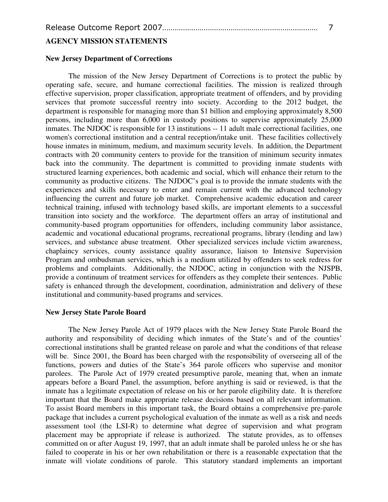#### **AGENCY MISSION STATEMENTS**

#### **New Jersey Department of Corrections**

The mission of the New Jersey Department of Corrections is to protect the public by operating safe, secure, and humane correctional facilities. The mission is realized through effective supervision, proper classification, appropriate treatment of offenders, and by providing services that promote successful reentry into society. According to the 2012 budget, the department is responsible for managing more than \$1 billion and employing approximately 8,500 persons, including more than 6,000 in custody positions to supervise approximately 25,000 inmates. The NJDOC is responsible for 13 institutions -- 11 adult male correctional facilities, one women's correctional institution and a central reception/intake unit. These facilities collectively house inmates in minimum, medium, and maximum security levels. In addition, the Department contracts with 20 community centers to provide for the transition of minimum security inmates back into the community. The department is committed to providing inmate students with structured learning experiences, both academic and social, which will enhance their return to the community as productive citizens. The NJDOC's goal is to provide the inmate students with the experiences and skills necessary to enter and remain current with the advanced technology influencing the current and future job market. Comprehensive academic education and career technical training, infused with technology based skills, are important elements to a successful transition into society and the workforce. The department offers an array of institutional and community-based program opportunities for offenders, including community labor assistance, academic and vocational educational programs, recreational programs, library (lending and law) services, and substance abuse treatment. Other specialized services include victim awareness, chaplaincy services, county assistance quality assurance, liaison to Intensive Supervision Program and ombudsman services, which is a medium utilized by offenders to seek redress for problems and complaints. Additionally, the NJDOC, acting in conjunction with the NJSPB, provide a continuum of treatment services for offenders as they complete their sentences. Public safety is enhanced through the development, coordination, administration and delivery of these institutional and community-based programs and services.

#### **New Jersey State Parole Board**

The New Jersey Parole Act of 1979 places with the New Jersey State Parole Board the authority and responsibility of deciding which inmates of the State's and of the counties' correctional institutions shall be granted release on parole and what the conditions of that release will be. Since 2001, the Board has been charged with the responsibility of overseeing all of the functions, powers and duties of the State's 364 parole officers who supervise and monitor parolees. The Parole Act of 1979 created presumptive parole, meaning that, when an inmate appears before a Board Panel, the assumption, before anything is said or reviewed, is that the inmate has a legitimate expectation of release on his or her parole eligibility date. It is therefore important that the Board make appropriate release decisions based on all relevant information. To assist Board members in this important task, the Board obtains a comprehensive pre-parole package that includes a current psychological evaluation of the inmate as well as a risk and needs assessment tool (the LSI-R) to determine what degree of supervision and what program placement may be appropriate if release is authorized. The statute provides, as to offenses committed on or after August 19, 1997, that an adult inmate shall be paroled unless he or she has failed to cooperate in his or her own rehabilitation or there is a reasonable expectation that the inmate will violate conditions of parole. This statutory standard implements an important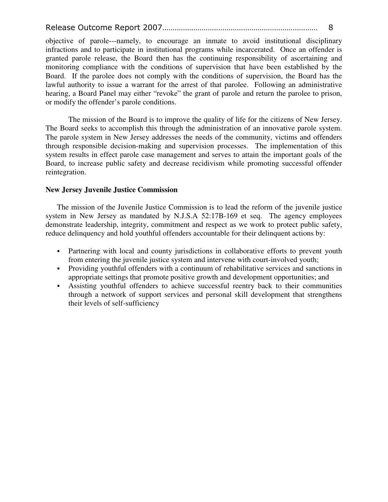objective of parole---namely, to encourage an inmate to avoid institutional disciplinary infractions and to participate in institutional programs while incarcerated. Once an offender is granted parole release, the Board then has the continuing responsibility of ascertaining and monitoring compliance with the conditions of supervision that have been established by the Board. If the parolee does not comply with the conditions of supervision, the Board has the lawful authority to issue a warrant for the arrest of that parolee. Following an administrative hearing, a Board Panel may either "revoke" the grant of parole and return the parolee to prison, or modify the offender's parole conditions.

The mission of the Board is to improve the quality of life for the citizens of New Jersey. The Board seeks to accomplish this through the administration of an innovative parole system. The parole system in New Jersey addresses the needs of the community, victims and offenders through responsible decision-making and supervision processes. The implementation of this system results in effect parole case management and serves to attain the important goals of the Board, to increase public safety and decrease recidivism while promoting successful offender reintegration.

#### **New Jersey Juvenile Justice Commission**

The mission of the Juvenile Justice Commission is to lead the reform of the juvenile justice system in New Jersey as mandated by N.J.S.A 52:17B-169 et seq. The agency employees demonstrate leadership, integrity, commitment and respect as we work to protect public safety, reduce delinquency and hold youthful offenders accountable for their delinquent actions by:

- Partnering with local and county jurisdictions in collaborative efforts to prevent youth from entering the juvenile justice system and intervene with court-involved youth;
- Providing youthful offenders with a continuum of rehabilitative services and sanctions in appropriate settings that promote positive growth and development opportunities; and
- Assisting youthful offenders to achieve successful reentry back to their communities through a network of support services and personal skill development that strengthens their levels of self-sufficiency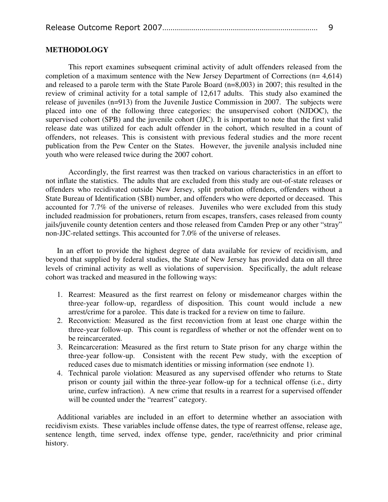#### **METHODOLOGY**

This report examines subsequent criminal activity of adult offenders released from the completion of a maximum sentence with the New Jersey Department of Corrections (n= 4,614) and released to a parole term with the State Parole Board (n=8,003) in 2007; this resulted in the review of criminal activity for a total sample of 12,617 adults. This study also examined the release of juveniles (n=913) from the Juvenile Justice Commission in 2007. The subjects were placed into one of the following three categories: the unsupervised cohort (NJDOC), the supervised cohort (SPB) and the juvenile cohort (JJC). It is important to note that the first valid release date was utilized for each adult offender in the cohort, which resulted in a count of offenders, not releases. This is consistent with previous federal studies and the more recent publication from the Pew Center on the States. However, the juvenile analysis included nine youth who were released twice during the 2007 cohort.

Accordingly, the first rearrest was then tracked on various characteristics in an effort to not inflate the statistics. The adults that are excluded from this study are out-of-state releases or offenders who recidivated outside New Jersey, split probation offenders, offenders without a State Bureau of Identification (SBI) number, and offenders who were deported or deceased. This accounted for 7.7% of the universe of releases. Juveniles who were excluded from this study included readmission for probationers, return from escapes, transfers, cases released from county jails/juvenile county detention centers and those released from Camden Prep or any other "stray" non-JJC-related settings. This accounted for 7.0% of the universe of releases.

In an effort to provide the highest degree of data available for review of recidivism, and beyond that supplied by federal studies, the State of New Jersey has provided data on all three levels of criminal activity as well as violations of supervision. Specifically, the adult release cohort was tracked and measured in the following ways:

- 1. Rearrest: Measured as the first rearrest on felony or misdemeanor charges within the three-year follow-up, regardless of disposition. This count would include a new arrest/crime for a parolee. This date is tracked for a review on time to failure.
- 2. Reconviction: Measured as the first reconviction from at least one charge within the three-year follow-up. This count is regardless of whether or not the offender went on to be reincarcerated.
- 3. Reincarceration: Measured as the first return to State prison for any charge within the three-year follow-up. Consistent with the recent Pew study, with the exception of reduced cases due to mismatch identities or missing information (see endnote 1).
- 4. Technical parole violation: Measured as any supervised offender who returns to State prison or county jail within the three-year follow-up for a technical offense (i.e., dirty urine, curfew infraction). A new crime that results in a rearrest for a supervised offender will be counted under the "rearrest" category.

Additional variables are included in an effort to determine whether an association with recidivism exists. These variables include offense dates, the type of rearrest offense, release age, sentence length, time served, index offense type, gender, race/ethnicity and prior criminal history.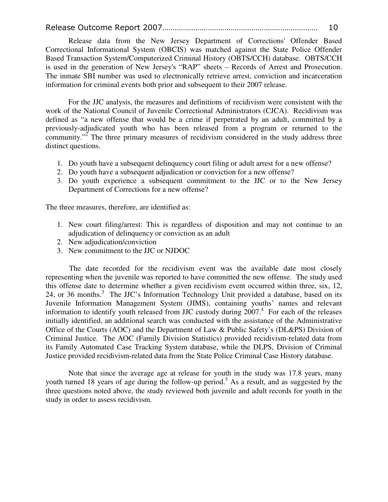Release data from the New Jersey Department of Corrections' Offender Based Correctional Informational System (OBCIS) was matched against the State Police Offender Based Transaction System/Computerized Criminal History (OBTS/CCH) database. OBTS/CCH is used in the generation of New Jersey's "RAP" sheets – Records of Arrest and Prosecution. The inmate SBI number was used to electronically retrieve arrest, conviction and incarceration information for criminal events both prior and subsequent to their 2007 release.

For the JJC analysis, the measures and definitions of recidivism were consistent with the work of the National Council of Juvenile Correctional Administrators (CJCA). Recidivism was defined as "a new offense that would be a crime if perpetrated by an adult, committed by a previously-adjudicated youth who has been released from a program or returned to the community."<sup>2</sup> The three primary measures of recidivism considered in the study address three distinct questions.

- 1. Do youth have a subsequent delinquency court filing or adult arrest for a new offense?
- 2. Do youth have a subsequent adjudication or conviction for a new offense?
- 3. Do youth experience a subsequent commitment to the JJC or to the New Jersey Department of Corrections for a new offense?

The three measures, therefore, are identified as:

- 1. New court filing/arrest: This is regardless of disposition and may not continue to an adjudication of delinquency or conviction as an adult
- 2. New adjudication/conviction
- 3. New commitment to the JJC or NJDOC

The date recorded for the recidivism event was the available date most closely representing when the juvenile was reported to have committed the new offense. The study used this offense date to determine whether a given recidivism event occurred within three, six, 12, 24, or 36 months.<sup>3</sup> The JJC's Information Technology Unit provided a database, based on its Juvenile Information Management System (JIMS), containing youths' names and relevant information to identify youth released from JJC custody during 2007.<sup>4</sup> For each of the releases initially identified, an additional search was conducted with the assistance of the Administrative Office of the Courts (AOC) and the Department of Law & Public Safety's (DL&PS) Division of Criminal Justice. The AOC (Family Division Statistics) provided recidivism-related data from its Family Automated Case Tracking System database, while the DLPS, Division of Criminal Justice provided recidivism-related data from the State Police Criminal Case History database.

Note that since the average age at release for youth in the study was 17.8 years, many youth turned 18 years of age during the follow-up period.<sup>5</sup> As a result, and as suggested by the three questions noted above, the study reviewed both juvenile and adult records for youth in the study in order to assess recidivism.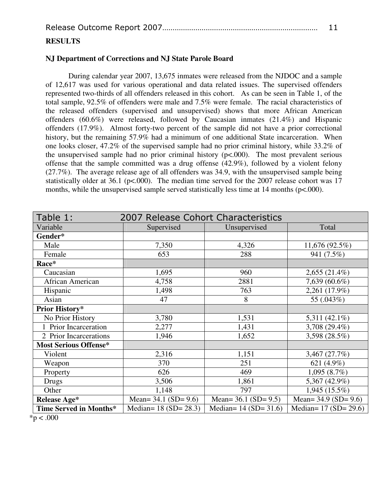#### **RESULTS**

#### **NJ Department of Corrections and NJ State Parole Board**

During calendar year 2007, 13,675 inmates were released from the NJDOC and a sample of 12,617 was used for various operational and data related issues. The supervised offenders represented two-thirds of all offenders released in this cohort. As can be seen in Table 1, of the total sample, 92.5% of offenders were male and 7.5% were female. The racial characteristics of the released offenders (supervised and unsupervised) shows that more African American offenders (60.6%) were released, followed by Caucasian inmates (21.4%) and Hispanic offenders (17.9%). Almost forty-two percent of the sample did not have a prior correctional history, but the remaining 57.9% had a minimum of one additional State incarceration. When one looks closer, 47.2% of the supervised sample had no prior criminal history, while 33.2% of the unsupervised sample had no prior criminal history  $(p<.000)$ . The most prevalent serious offense that the sample committed was a drug offense (42.9%), followed by a violent felony (27.7%). The average release age of all offenders was 34.9, with the unsupervised sample being statistically older at 36.1 (p<.000). The median time served for the 2007 release cohort was 17 months, while the unsupervised sample served statistically less time at 14 months ( $p<.000$ ).

| Table 1:                     | 2007 Release Cohort Characteristics |                           |                           |  |
|------------------------------|-------------------------------------|---------------------------|---------------------------|--|
| Variable                     | Supervised                          | Unsupervised              |                           |  |
| Gender*                      |                                     |                           |                           |  |
| Male                         | 7,350                               | 4,326                     | 11,676(92.5%)             |  |
| Female                       | 653                                 | 288                       | 941 (7.5%)                |  |
| Race*                        |                                     |                           |                           |  |
| Caucasian                    | 1,695                               | 960                       | $2,655(21.4\%)$           |  |
| African American             | 4,758                               | 2881                      | 7,639 (60.6%)             |  |
| Hispanic                     | 1,498                               | 763                       | 2,261 (17.9%)             |  |
| Asian                        | 47                                  | 8                         | 55 (.043%)                |  |
| <b>Prior History*</b>        |                                     |                           |                           |  |
| No Prior History             | 3,780                               | 1,531                     | 5,311 $(42.1\%)$          |  |
| 1 Prior Incarceration        | 2,277                               | 1,431                     | 3,708 (29.4%)             |  |
| 2 Prior Incarcerations       | 1,946                               | 1,652                     | 3,598 (28.5%)             |  |
| <b>Most Serious Offense*</b> |                                     |                           |                           |  |
| Violent                      | 2,316                               | 1,151                     | 3,467(27.7%)              |  |
| Weapon                       | 370                                 | 251                       | 621 (4.9%)                |  |
| Property                     | 626                                 | 469                       | 1,095(8.7%)               |  |
| Drugs                        | 3,506                               | 1,861                     | 5,367 (42.9%)             |  |
| Other                        | 1,148                               | 797                       | $1,945(15.5\%)$           |  |
| <b>Release Age*</b>          | Mean= $34.1$ (SD= $9.6$ )           | Mean= $36.1$ (SD= $9.5$ ) | Mean= $34.9$ (SD= $9.6$ ) |  |
| Time Served in Months*       | Median= $18 (SD = 28.3)$            | Median= $14 (SD = 31.6)$  | Median= $17 (SD = 29.6)$  |  |

 $*p < .000$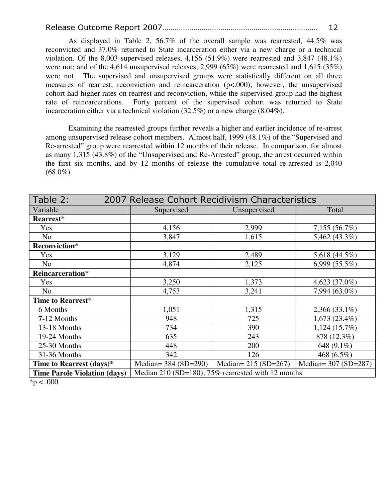As displayed in Table 2, 56.7% of the overall sample was rearrested, 44.5% was reconvicted and 37.0% returned to State incarceration either via a new charge or a technical violation. Of the 8,003 supervised releases, 4,156 (51.9%) were rearrested and 3,847 (48.1%) were not; and of the 4,614 unsupervised releases, 2,999 (65%) were rearrested and 1,615 (35%) were not. The supervised and unsupervised groups were statistically different on all three measures of rearrest, reconviction and reincarceration (p<.000); however, the unsupervised cohort had higher rates on rearrest and reconviction, while the supervised group had the highest rate of reincarcerations. Forty percent of the supervised cohort was returned to State incarceration either via a technical violation (32.5%) or a new charge (8.04%).

Examining the rearrested groups further reveals a higher and earlier incidence of re-arrest among unsupervised release cohort members. Almost half, 1999 (48.1%) of the "Supervised and Re-arrested" group were rearrested within 12 months of their release. In comparison, for almost as many 1,315 (43.8%) of the "Unsupervised and Re-Arrested" group, the arrest occurred within the first six months, and by 12 months of release the cumulative total re-arrested is 2,040  $(68.0\%)$ .

| Table 2:                            | 2007 Release Cohort Recidivism Characteristics     |                        |                      |  |
|-------------------------------------|----------------------------------------------------|------------------------|----------------------|--|
| Variable                            | Supervised                                         | Unsupervised           | Total                |  |
| Rearrest*                           |                                                    |                        |                      |  |
| Yes                                 | 4,156                                              | 2,999                  | 7,155(56.7%)         |  |
| N <sub>0</sub>                      | 3,847                                              | 1,615                  | 5,462 (43.3%)        |  |
| <b>Reconviction*</b>                |                                                    |                        |                      |  |
| Yes                                 | 3,129                                              | 2,489                  | 5,618 $(44.5\%)$     |  |
| N <sub>o</sub>                      | 4,874                                              | 2,125                  | 6,999(55.5%)         |  |
| Reincarceration*                    |                                                    |                        |                      |  |
| Yes                                 | 3,250                                              | 1,373                  | 4,623 (37.0%)        |  |
| N <sub>o</sub>                      | 4,753                                              | 3,241                  | 7,994 (63.0%)        |  |
| Time to Rearrest*                   |                                                    |                        |                      |  |
| 6 Months                            | 1,051                                              | 1,315                  | $2,366(33.1\%)$      |  |
| $7-12$ Months                       | 948                                                | 725                    | $1,673(23.4\%)$      |  |
| 13-18 Months                        | 734                                                | 390                    | 1,124(15.7%)         |  |
| 19-24 Months                        | 635                                                | 243                    | 878 (12.3%)          |  |
| 25-30 Months                        | 448                                                | 200                    | 648 (9.1%)           |  |
| 31-36 Months                        | 342                                                | 126                    | 468 (6.5%)           |  |
| Time to Rearrest (days)*            | Median= $384 \text{ (SD=290)}$                     | Median= $215 (SD=267)$ | Median= 307 (SD=287) |  |
| <b>Time Parole Violation (days)</b> | Median 210 (SD=180); 75% rearrested with 12 months |                        |                      |  |

 $*p < .000$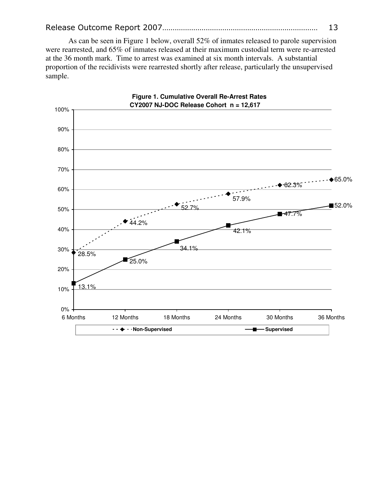As can be seen in Figure 1 below, overall 52% of inmates released to parole supervision were rearrested, and 65% of inmates released at their maximum custodial term were re-arrested at the 36 month mark. Time to arrest was examined at six month intervals. A substantial proportion of the recidivists were rearrested shortly after release, particularly the unsupervised sample.

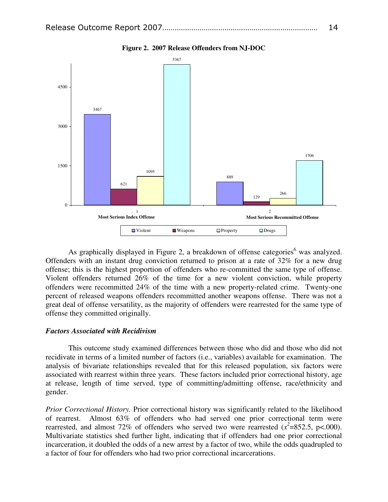

**Figure 2. 2007 Release Offenders from NJ-DOC** 

As graphically displayed in Figure 2, a breakdown of offense categories<sup>6</sup> was analyzed. Offenders with an instant drug conviction returned to prison at a rate of 32% for a new drug offense; this is the highest proportion of offenders who re-committed the same type of offense. Violent offenders returned 26% of the time for a new violent conviction, while property offenders were recommitted 24% of the time with a new property-related crime. Twenty-one percent of released weapons offenders recommitted another weapons offense. There was not a great deal of offense versatility, as the majority of offenders were rearrested for the same type of offense they committed originally.

#### *Factors Associated with Recidivism*

This outcome study examined differences between those who did and those who did not recidivate in terms of a limited number of factors (i.e., variables) available for examination. The analysis of bivariate relationships revealed that for this released population, six factors were associated with rearrest within three years. These factors included prior correctional history, age at release, length of time served, type of committing/admitting offense, race/ethnicity and gender.

*Prior Correctional History.* Prior correctional history was significantly related to the likelihood of rearrest. Almost 63% of offenders who had served one prior correctional term were rearrested, and almost 72% of offenders who served two were rearrested  $(x^2=852.5, p<.000)$ . Multivariate statistics shed further light, indicating that if offenders had one prior correctional incarceration, it doubled the odds of a new arrest by a factor of two, while the odds quadrupled to a factor of four for offenders who had two prior correctional incarcerations.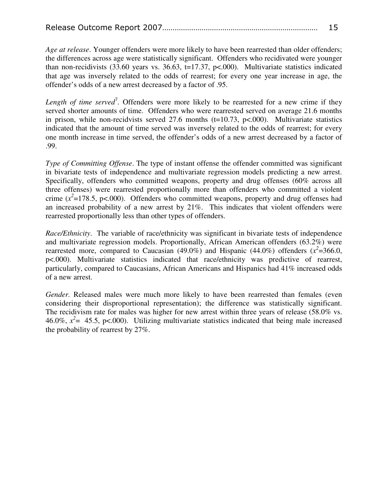*Age at release*. Younger offenders were more likely to have been rearrested than older offenders; the differences across age were statistically significant. Offenders who recidivated were younger than non-recidivists  $(33.60 \text{ years vs. } 36.63, t=17.37, p<0.00)$ . Multivariate statistics indicated that age was inversely related to the odds of rearrest; for every one year increase in age, the offender's odds of a new arrest decreased by a factor of .95.

Length of time served<sup>7</sup>. Offenders were more likely to be rearrested for a new crime if they served shorter amounts of time. Offenders who were rearrested served on average 21.6 months in prison, while non-recidvists served 27.6 months  $(t=10.73, p<.000)$ . Multivariate statistics indicated that the amount of time served was inversely related to the odds of rearrest; for every one month increase in time served, the offender's odds of a new arrest decreased by a factor of .99.

*Type of Committing Offense*. The type of instant offense the offender committed was significant in bivariate tests of independence and multivariate regression models predicting a new arrest. Specifically, offenders who committed weapons, property and drug offenses (60% across all three offenses) were rearrested proportionally more than offenders who committed a violent crime  $(x^2=178.5, p<.000)$ . Offenders who committed weapons, property and drug offenses had an increased probability of a new arrest by 21%. This indicates that violent offenders were rearrested proportionally less than other types of offenders.

*Race/Ethnicity*. The variable of race/ethnicity was significant in bivariate tests of independence and multivariate regression models. Proportionally, African American offenders (63.2%) were rearrested more, compared to Caucasian (49.0%) and Hispanic (44.0%) offenders ( $x^2$ =366.0, p<.000). Multivariate statistics indicated that race/ethnicity was predictive of rearrest, particularly, compared to Caucasians, African Americans and Hispanics had 41% increased odds of a new arrest.

*Gender.* Released males were much more likely to have been rearrested than females (even considering their disproportional representation); the difference was statistically significant. The recidivism rate for males was higher for new arrest within three years of release (58.0% vs. 46.0%,  $x^2$  = 45.5, p<.000). Utilizing multivariate statistics indicated that being male increased the probability of rearrest by 27%.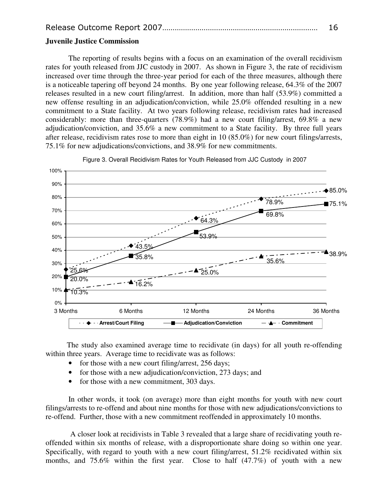#### **Juvenile Justice Commission**

The reporting of results begins with a focus on an examination of the overall recidivism rates for youth released from JJC custody in 2007. As shown in Figure 3, the rate of recidivism increased over time through the three-year period for each of the three measures, although there is a noticeable tapering off beyond 24 months. By one year following release, 64.3% of the 2007 releases resulted in a new court filing/arrest. In addition, more than half (53.9%) committed a new offense resulting in an adjudication/conviction, while 25.0% offended resulting in a new commitment to a State facility. At two years following release, recidivism rates had increased considerably: more than three-quarters (78.9%) had a new court filing/arrest, 69.8% a new adjudication/conviction, and 35.6% a new commitment to a State facility. By three full years after release, recidivism rates rose to more than eight in 10 (85.0%) for new court filings/arrests, 75.1% for new adjudications/convictions, and 38.9% for new commitments.



Figure 3. Overall Recidivism Rates for Youth Released from JJC Custody in 2007

 The study also examined average time to recidivate (in days) for all youth re-offending within three years. Average time to recidivate was as follows:

- for those with a new court filing/arrest, 256 days;
- for those with a new adjudication/conviction, 273 days; and
- for those with a new commitment, 303 days.

In other words, it took (on average) more than eight months for youth with new court filings/arrests to re-offend and about nine months for those with new adjudications/convictions to re-offend. Further, those with a new commitment reoffended in approximately 10 months.

 A closer look at recidivists in Table 3 revealed that a large share of recidivating youth reoffended within six months of release, with a disproportionate share doing so within one year. Specifically, with regard to youth with a new court filing/arrest, 51.2% recidivated within six months, and 75.6% within the first year. Close to half (47.7%) of youth with a new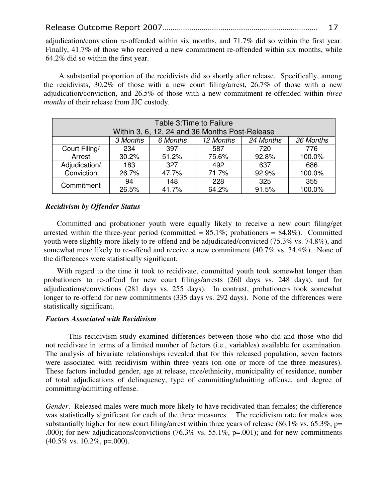adjudication/conviction re-offended within six months, and 71.7% did so within the first year. Finally, 41.7% of those who received a new commitment re-offended within six months, while 64.2% did so within the first year.

 A substantial proportion of the recidivists did so shortly after release. Specifically, among the recidivists, 30.2% of those with a new court filing/arrest, 26.7% of those with a new adjudication/conviction, and 26.5% of those with a new commitment re-offended within *three months* of their release from JJC custody.

| Table 3: Time to Failure                                                                                      |       |       |       |       |        |
|---------------------------------------------------------------------------------------------------------------|-------|-------|-------|-------|--------|
| Within 3, 6, 12, 24 and 36 Months Post-Release<br>12 Months<br>24 Months<br>36 Months<br>3 Months<br>6 Months |       |       |       |       |        |
| Court Filing/                                                                                                 | 234   | 397   | 587   | 720   | 776    |
| Arrest                                                                                                        | 30.2% | 51.2% | 75.6% | 92.8% | 100.0% |
| Adjudication/                                                                                                 | 183   | 327   | 492   | 637   | 686    |
| Conviction                                                                                                    | 26.7% | 47.7% | 71.7% | 92.9% | 100.0% |
| Commitment                                                                                                    | 94    | 148   | 228   | 325   | 355    |
|                                                                                                               | 26.5% | 41.7% | 64.2% | 91.5% | 100.0% |

#### *Recidivism by Offender Status*

Committed and probationer youth were equally likely to receive a new court filing/get arrested within the three-year period (committed  $= 85.1\%$ ; probationers  $= 84.8\%$ ). Committed youth were slightly more likely to re-offend and be adjudicated/convicted (75.3% vs. 74.8%), and somewhat more likely to re-offend and receive a new commitment (40.7% vs. 34.4%). None of the differences were statistically significant.

With regard to the time it took to recidivate, committed youth took somewhat longer than probationers to re-offend for new court filings/arrests (260 days vs. 248 days), and for adjudications/convictions (281 days vs. 255 days). In contrast, probationers took somewhat longer to re-offend for new commitments (335 days vs. 292 days). None of the differences were statistically significant.

#### *Factors Associated with Recidivism*

This recidivism study examined differences between those who did and those who did not recidivate in terms of a limited number of factors (i.e., variables) available for examination. The analysis of bivariate relationships revealed that for this released population, seven factors were associated with recidivism within three years (on one or more of the three measures). These factors included gender, age at release, race/ethnicity, municipality of residence, number of total adjudications of delinquency, type of committing/admitting offense, and degree of committing/admitting offense.

*Gender*. Released males were much more likely to have recidivated than females; the difference was statistically significant for each of the three measures. The recidivism rate for males was substantially higher for new court filing/arrest within three years of release (86.1% vs. 65.3%, p= .000); for new adjudications/convictions  $(76.3\% \text{ vs. } 55.1\%, \text{ p} = .001)$ ; and for new commitments  $(40.5\% \text{ vs. } 10.2\%, \text{ p} = 0.000).$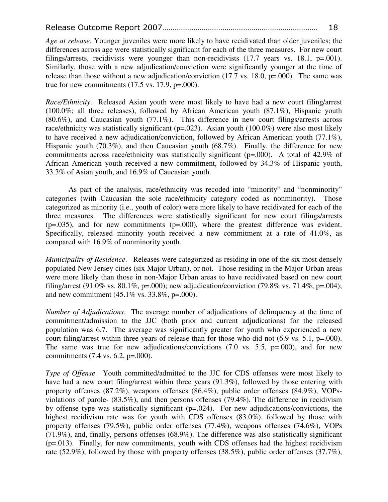*Age at release*. Younger juveniles were more likely to have recidivated than older juveniles; the differences across age were statistically significant for each of the three measures. For new court filings/arrests, recidivists were younger than non-recidivists  $(17.7 \text{ years vs. } 18.1, \text{ p} = .001)$ . Similarly, those with a new adjudication/conviction were significantly younger at the time of release than those without a new adjudication/conviction (17.7 vs. 18.0, p=.000). The same was true for new commitments  $(17.5 \text{ vs. } 17.9, \text{ p} = .000)$ .

*Race/Ethnicity*. Released Asian youth were most likely to have had a new court filing/arrest (100.0%; all three releases), followed by African American youth (87.1%), Hispanic youth (80.6%), and Caucasian youth (77.1%). This difference in new court filings/arrests across race/ethnicity was statistically significant (p=.023). Asian youth (100.0%) were also most likely to have received a new adjudication/conviction, followed by African American youth (77.1%), Hispanic youth (70.3%), and then Caucasian youth (68.7%). Finally, the difference for new commitments across race/ethnicity was statistically significant ( $p=0.00$ ). A total of 42.9% of African American youth received a new commitment, followed by 34.3% of Hispanic youth, 33.3% of Asian youth, and 16.9% of Caucasian youth.

As part of the analysis, race/ethnicity was recoded into "minority" and "nonminority" categories (with Caucasian the sole race/ethnicity category coded as nonminority). Those categorized as minority (i.e., youth of color) were more likely to have recidivated for each of the three measures. The differences were statistically significant for new court filings/arrests  $(p=.035)$ , and for new commitments  $(p=.000)$ , where the greatest difference was evident. Specifically, released minority youth received a new commitment at a rate of 41.0%, as compared with 16.9% of nonminority youth.

*Municipality of Residence*. Releases were categorized as residing in one of the six most densely populated New Jersey cities (six Major Urban), or not. Those residing in the Major Urban areas were more likely than those in non-Major Urban areas to have recidivated based on new court filing/arrest (91.0% vs. 80.1%, p=.000); new adjudication/conviction (79.8% vs. 71.4%, p=.004); and new commitment  $(45.1\% \text{ vs. } 33.8\% \text{.)} = 0.000$ .

*Number of Adjudications*. The average number of adjudications of delinquency at the time of commitment/admission to the JJC (both prior and current adjudications) for the released population was 6.7. The average was significantly greater for youth who experienced a new court filing/arrest within three years of release than for those who did not (6.9 vs. 5.1, p=.000). The same was true for new adjudications/convictions  $(7.0 \text{ vs. } 5.5, \text{ p} = .000)$ , and for new commitments (7.4 vs. 6.2, p=.000).

*Type of Offense*. Youth committed/admitted to the JJC for CDS offenses were most likely to have had a new court filing/arrest within three years (91.3%), followed by those entering with property offenses (87.2%), weapons offenses (86.4%), public order offenses (84.9%), VOPsviolations of parole- (83.5%), and then persons offenses (79.4%). The difference in recidivism by offense type was statistically significant (p=.024). For new adjudications/convictions, the highest recidivism rate was for youth with CDS offenses (83.0%), followed by those with property offenses (79.5%), public order offenses (77.4%), weapons offenses (74.6%), VOPs (71.9%), and, finally, persons offenses (68.9%). The difference was also statistically significant  $(p=0.013)$ . Finally, for new commitments, youth with CDS offenses had the highest recidivism rate (52.9%), followed by those with property offenses (38.5%), public order offenses (37.7%),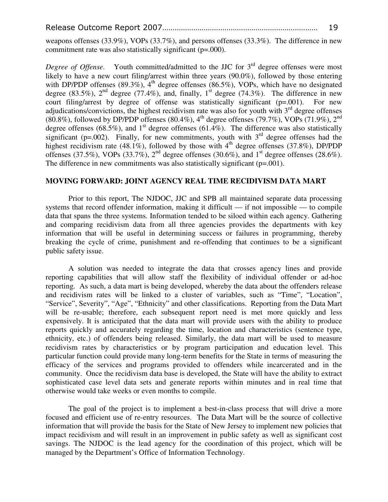weapons offenses (33.9%), VOPs (33.7%), and persons offenses (33.3%). The difference in new commitment rate was also statistically significant (p=.000).

*Degree of Offense*. Youth committed/admitted to the JJC for 3<sup>rd</sup> degree offenses were most likely to have a new court filing/arrest within three years (90.0%), followed by those entering with DP/PDP offenses (89.3%),  $4<sup>th</sup>$  degree offenses (86.5%), VOPs, which have no designated degree (83.5%),  $2<sup>nd</sup>$  degree (77.4%), and, finally,  $1<sup>st</sup>$  degree (74.3%). The difference in new court filing/arrest by degree of offense was statistically significant (p=.001). For new adjudications/convictions, the highest recidivism rate was also for youth with  $3<sup>rd</sup>$  degree offenses (80.8%), followed by DP/PDP offenses (80.4%),  $4^{th}$  degree offenses (79.7%), VOPs (71.9%),  $2^{nd}$ degree offenses (68.5%), and  $1<sup>st</sup>$  degree offenses (61.4%). The difference was also statistically significant (p=.002). Finally, for new commitments, youth with  $3<sup>rd</sup>$  degree offenses had the highest recidivism rate (48.1%), followed by those with  $4<sup>th</sup>$  degree offenses (37.8%), DP/PDP offenses (37.5%), VOPs (33.7%),  $2<sup>nd</sup>$  degree offenses (30.6%), and  $1<sup>st</sup>$  degree offenses (28.6%). The difference in new commitments was also statistically significant  $(p=.001)$ .

#### **MOVING FORWARD: JOINT AGENCY REAL TIME RECIDIVISM DATA MART**

Prior to this report, The NJDOC, JJC and SPB all maintained separate data processing systems that record offender information, making it difficult — if not impossible — to compile data that spans the three systems. Information tended to be siloed within each agency. Gathering and comparing recidivism data from all three agencies provides the departments with key information that will be useful in determining success or failures in programming, thereby breaking the cycle of crime, punishment and re-offending that continues to be a significant public safety issue.

A solution was needed to integrate the data that crosses agency lines and provide reporting capabilities that will allow staff the flexibility of individual offender or ad-hoc reporting. As such, a data mart is being developed, whereby the data about the offenders release and recidivism rates will be linked to a cluster of variables, such as "Time", "Location", "Service", Severity", "Age", "Ethnicity" and other classifications. Reporting from the Data Mart will be re-usable; therefore, each subsequent report need is met more quickly and less expensively. It is anticipated that the data mart will provide users with the ability to produce reports quickly and accurately regarding the time, location and characteristics (sentence type, ethnicity, etc.) of offenders being released. Similarly, the data mart will be used to measure recidivism rates by characteristics or by program participation and education level. This particular function could provide many long-term benefits for the State in terms of measuring the efficacy of the services and programs provided to offenders while incarcerated and in the community. Once the recidivism data base is developed, the State will have the ability to extract sophisticated case level data sets and generate reports within minutes and in real time that otherwise would take weeks or even months to compile.

The goal of the project is to implement a best-in-class process that will drive a more focused and efficient use of re-entry resources. The Data Mart will be the source of collective information that will provide the basis for the State of New Jersey to implement new policies that impact recidivism and will result in an improvement in public safety as well as significant cost savings. The NJDOC is the lead agency for the coordination of this project, which will be managed by the Department's Office of Information Technology.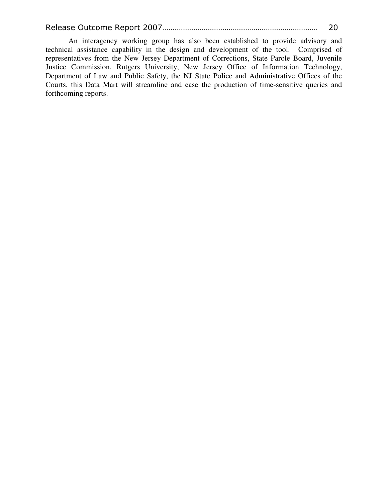An interagency working group has also been established to provide advisory and technical assistance capability in the design and development of the tool. Comprised of representatives from the New Jersey Department of Corrections, State Parole Board, Juvenile Justice Commission, Rutgers University, New Jersey Office of Information Technology, Department of Law and Public Safety, the NJ State Police and Administrative Offices of the Courts, this Data Mart will streamline and ease the production of time-sensitive queries and forthcoming reports.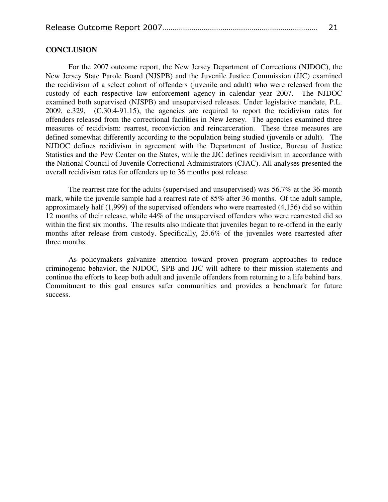|--|--|

#### **CONCLUSION**

For the 2007 outcome report, the New Jersey Department of Corrections (NJDOC), the New Jersey State Parole Board (NJSPB) and the Juvenile Justice Commission (JJC) examined the recidivism of a select cohort of offenders (juvenile and adult) who were released from the custody of each respective law enforcement agency in calendar year 2007. The NJDOC examined both supervised (NJSPB) and unsupervised releases. Under legislative mandate, P.L. 2009, c.329, (C.30:4-91.15), the agencies are required to report the recidivism rates for offenders released from the correctional facilities in New Jersey. The agencies examined three measures of recidivism: rearrest, reconviction and reincarceration. These three measures are defined somewhat differently according to the population being studied (juvenile or adult). The NJDOC defines recidivism in agreement with the Department of Justice, Bureau of Justice Statistics and the Pew Center on the States, while the JJC defines recidivism in accordance with the National Council of Juvenile Correctional Administrators (CJAC). All analyses presented the overall recidivism rates for offenders up to 36 months post release.

The rearrest rate for the adults (supervised and unsupervised) was 56.7% at the 36-month mark, while the juvenile sample had a rearrest rate of 85% after 36 months. Of the adult sample, approximately half (1,999) of the supervised offenders who were rearrested (4,156) did so within 12 months of their release, while 44% of the unsupervised offenders who were rearrested did so within the first six months. The results also indicate that juveniles began to re-offend in the early months after release from custody. Specifically, 25.6% of the juveniles were rearrested after three months.

As policymakers galvanize attention toward proven program approaches to reduce criminogenic behavior, the NJDOC, SPB and JJC will adhere to their mission statements and continue the efforts to keep both adult and juvenile offenders from returning to a life behind bars. Commitment to this goal ensures safer communities and provides a benchmark for future success.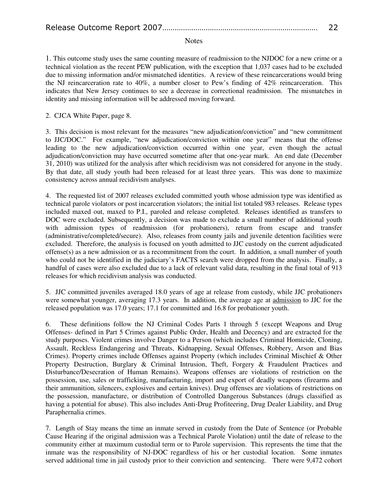#### Notes

1. This outcome study uses the same counting measure of readmission to the NJDOC for a new crime or a technical violation as the recent PEW publication, with the exception that 1,037 cases had to be excluded due to missing information and/or mismatched identities. A review of these reincarcerations would bring the NJ reincarceration rate to 40%, a number closer to Pew's finding of 42% reincarceration. This indicates that New Jersey continues to see a decrease in correctional readmission. The mismatches in identity and missing information will be addressed moving forward.

2. CJCA White Paper, page 8.

3. This decision is most relevant for the measures "new adjudication/conviction" and "new commitment to JJC/DOC." For example, "new adjudication/conviction within one year" means that the offense leading to the new adjudication/conviction occurred within one year, even though the actual adjudication/conviction may have occurred sometime after that one-year mark. An end date (December 31, 2010) was utilized for the analysis after which recidivism was not considered for anyone in the study. By that date, all study youth had been released for at least three years. This was done to maximize consistency across annual recidivism analyses.

4. The requested list of 2007 releases excluded committed youth whose admission type was identified as technical parole violators or post incarceration violators; the initial list totaled 983 releases. Release types included maxed out, maxed to P.I., paroled and release completed. Releases identified as transfers to DOC were excluded. Subsequently, a decision was made to exclude a small number of additional youth with admission types of readmission (for probationers), return from escape and transfer (administrative/completed/secure). Also, releases from county jails and juvenile detention facilities were excluded. Therefore, the analysis is focused on youth admitted to JJC custody on the current adjudicated offense(s) as a new admission or as a recommitment from the court. In addition, a small number of youth who could not be identified in the judiciary's FACTS search were dropped from the analysis. Finally, a handful of cases were also excluded due to a lack of relevant valid data, resulting in the final total of 913 releases for which recidivism analysis was conducted.

5. JJC committed juveniles averaged 18.0 years of age at release from custody, while JJC probationers were somewhat younger, averaging 17.3 years. In addition, the average age at admission to JJC for the released population was 17.0 years; 17.1 for committed and 16.8 for probationer youth.

6. These definitions follow the NJ Criminal Codes Parts 1 through 5 (except Weapons and Drug Offenses- defined in Part 5 Crimes against Public Order, Health and Decency) and are extracted for the study purposes. Violent crimes involve Danger to a Person (which includes Criminal Homicide, Cloning, Assault, Reckless Endangering and Threats, Kidnapping, Sexual Offenses, Robbery, Arson and Bias Crimes). Property crimes include Offenses against Property (which includes Criminal Mischief & Other Property Destruction, Burglary & Criminal Intrusion, Theft, Forgery & Fraudulent Practices and Disturbance/Desecration of Human Remains). Weapons offenses are violations of restriction on the possession, use, sales or trafficking, manufacturing, import and export of deadly weapons (firearms and their ammunition, silencers, explosives and certain knives). Drug offenses are violations of restrictions on the possession, manufacture, or distribution of Controlled Dangerous Substances (drugs classified as having a potential for abuse). This also includes Anti-Drug Profiteering, Drug Dealer Liability, and Drug Paraphernalia crimes.

7. Length of Stay means the time an inmate served in custody from the Date of Sentence (or Probable Cause Hearing if the original admission was a Technical Parole Violation) until the date of release to the community either at maximum custodial term or to Parole supervision. This represents the time that the inmate was the responsibility of NJ-DOC regardless of his or her custodial location. Some inmates served additional time in jail custody prior to their conviction and sentencing. There were 9,472 cohort